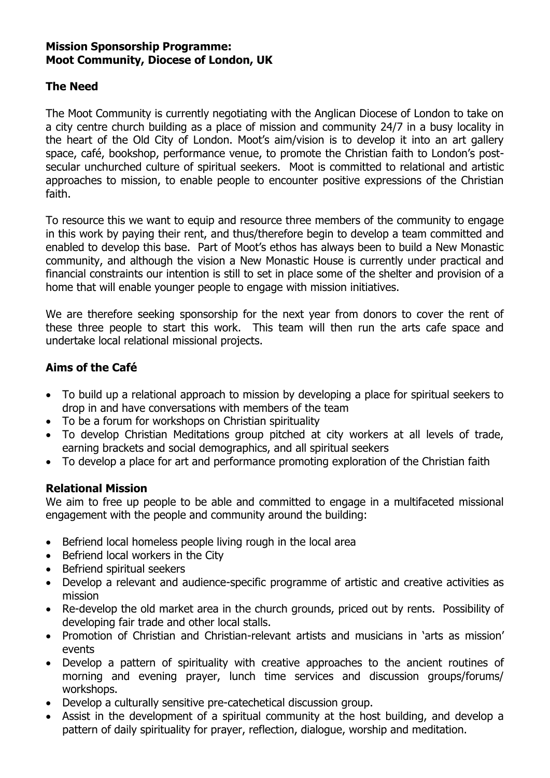#### **Mission Sponsorship Programme: Moot Community, Diocese of London, UK**

# **The Need**

The Moot Community is currently negotiating with the Anglican Diocese of London to take on a city centre church building as a place of mission and community 24/7 in a busy locality in the heart of the Old City of London. Moot's aim/vision is to develop it into an art gallery space, café, bookshop, performance venue, to promote the Christian faith to London's postsecular unchurched culture of spiritual seekers. Moot is committed to relational and artistic approaches to mission, to enable people to encounter positive expressions of the Christian faith.

To resource this we want to equip and resource three members of the community to engage in this work by paying their rent, and thus/therefore begin to develop a team committed and enabled to develop this base. Part of Moot's ethos has always been to build a New Monastic community, and although the vision a New Monastic House is currently under practical and financial constraints our intention is still to set in place some of the shelter and provision of a home that will enable younger people to engage with mission initiatives.

We are therefore seeking sponsorship for the next year from donors to cover the rent of these three people to start this work. This team will then run the arts cafe space and undertake local relational missional projects.

# **Aims of the Café**

- To build up a relational approach to mission by developing a place for spiritual seekers to drop in and have conversations with members of the team
- To be a forum for workshops on Christian spirituality
- To develop Christian Meditations group pitched at city workers at all levels of trade, earning brackets and social demographics, and all spiritual seekers
- To develop a place for art and performance promoting exploration of the Christian faith

## **Relational Mission**

We aim to free up people to be able and committed to engage in a multifaceted missional engagement with the people and community around the building:

- Befriend local homeless people living rough in the local area
- Befriend local workers in the City
- Befriend spiritual seekers
- Develop a relevant and audience-specific programme of artistic and creative activities as mission
- Re-develop the old market area in the church grounds, priced out by rents. Possibility of developing fair trade and other local stalls.
- Promotion of Christian and Christian-relevant artists and musicians in 'arts as mission' events
- Develop a pattern of spirituality with creative approaches to the ancient routines of morning and evening prayer, lunch time services and discussion groups/forums/ workshops.
- Develop a culturally sensitive pre-catechetical discussion group.
- Assist in the development of a spiritual community at the host building, and develop a pattern of daily spirituality for prayer, reflection, dialogue, worship and meditation.